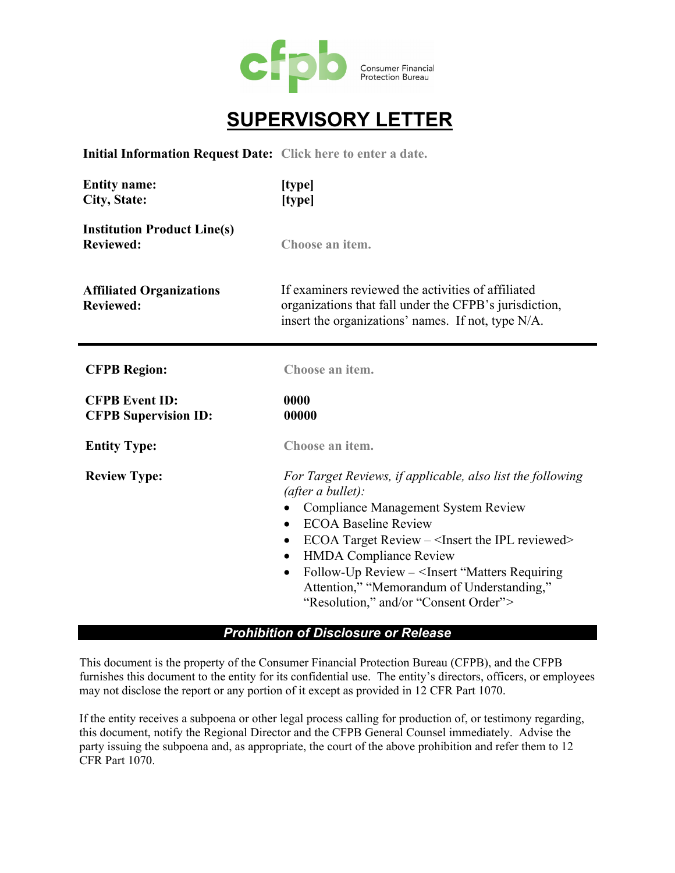

## **SUPERVISORY LETTER**

**Initial Information Request Date: Click here to enter a date.**

| <b>Entity name:</b><br>City, State:                    | [type]<br>[type]                                                                                                                                                                                                                                                                                                                                                                                                                                                                                        |
|--------------------------------------------------------|---------------------------------------------------------------------------------------------------------------------------------------------------------------------------------------------------------------------------------------------------------------------------------------------------------------------------------------------------------------------------------------------------------------------------------------------------------------------------------------------------------|
| <b>Institution Product Line(s)</b><br><b>Reviewed:</b> | Choose an item.                                                                                                                                                                                                                                                                                                                                                                                                                                                                                         |
| <b>Affiliated Organizations</b><br><b>Reviewed:</b>    | If examiners reviewed the activities of affiliated<br>organizations that fall under the CFPB's jurisdiction,<br>insert the organizations' names. If not, type N/A.                                                                                                                                                                                                                                                                                                                                      |
| <b>CFPB Region:</b>                                    | Choose an item.                                                                                                                                                                                                                                                                                                                                                                                                                                                                                         |
| <b>CFPB Event ID:</b><br><b>CFPB Supervision ID:</b>   | 0000<br>00000                                                                                                                                                                                                                                                                                                                                                                                                                                                                                           |
| <b>Entity Type:</b>                                    | Choose an item.                                                                                                                                                                                                                                                                                                                                                                                                                                                                                         |
| <b>Review Type:</b>                                    | For Target Reviews, if applicable, also list the following<br>(after a bullet):<br>Compliance Management System Review<br><b>ECOA Baseline Review</b><br>$\bullet$<br>ECOA Target Review - <insert ipl="" reviewed="" the=""><br/><math>\bullet</math><br/><b>HMDA</b> Compliance Review<br/>Follow-Up Review – <insert "matters="" requiring<br=""><math display="inline">\bullet</math><br/>Attention," "Memorandum of Understanding,"<br/>"Resolution," and/or "Consent Order"&gt;</insert></insert> |

### *Prohibition of Disclosure or Release*

This document is the property of the Consumer Financial Protection Bureau (CFPB), and the CFPB furnishes this document to the entity for its confidential use. The entity's directors, officers, or employees may not disclose the report or any portion of it except as provided in 12 CFR Part 1070.

If the entity receives a subpoena or other legal process calling for production of, or testimony regarding, this document, notify the Regional Director and the CFPB General Counsel immediately. Advise the party issuing the subpoena and, as appropriate, the court of the above prohibition and refer them to 12 CFR Part 1070.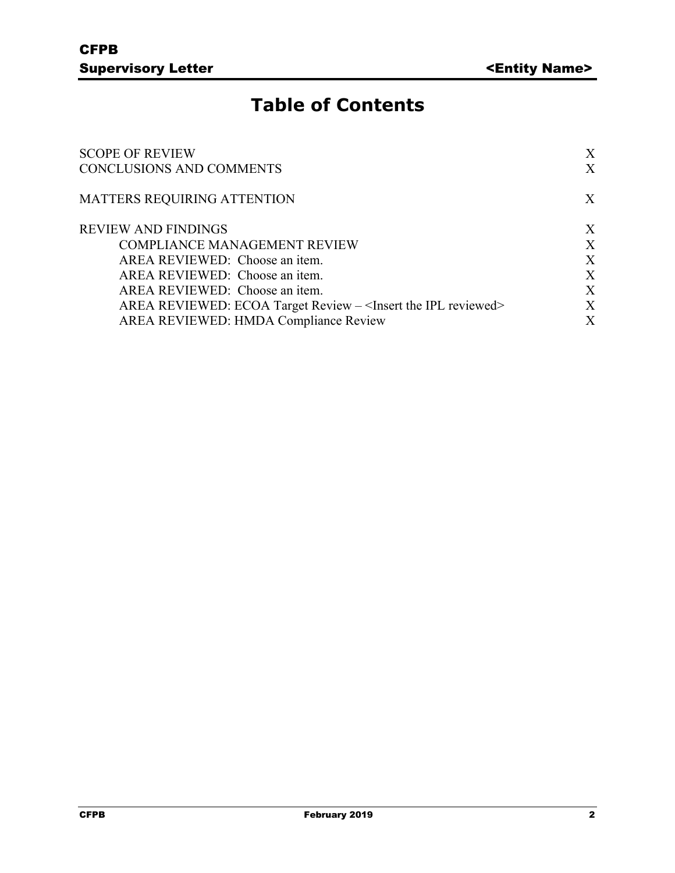# **Table of Contents**

| <b>SCOPE OF REVIEW</b>                                                          | X           |
|---------------------------------------------------------------------------------|-------------|
| CONCLUSIONS AND COMMENTS                                                        | X           |
| <b>MATTERS REQUIRING ATTENTION</b>                                              | X           |
| <b>REVIEW AND FINDINGS</b>                                                      | X           |
| <b>COMPLIANCE MANAGEMENT REVIEW</b>                                             | X           |
| AREA REVIEWED: Choose an item.                                                  | X           |
| AREA REVIEWED: Choose an item.                                                  | X           |
| AREA REVIEWED: Choose an item.                                                  | X           |
| AREA REVIEWED: ECOA Target Review - <insert ipl="" reviewed="" the=""></insert> | X           |
| AREA REVIEWED: HMDA Compliance Review                                           | $\mathbf X$ |
|                                                                                 |             |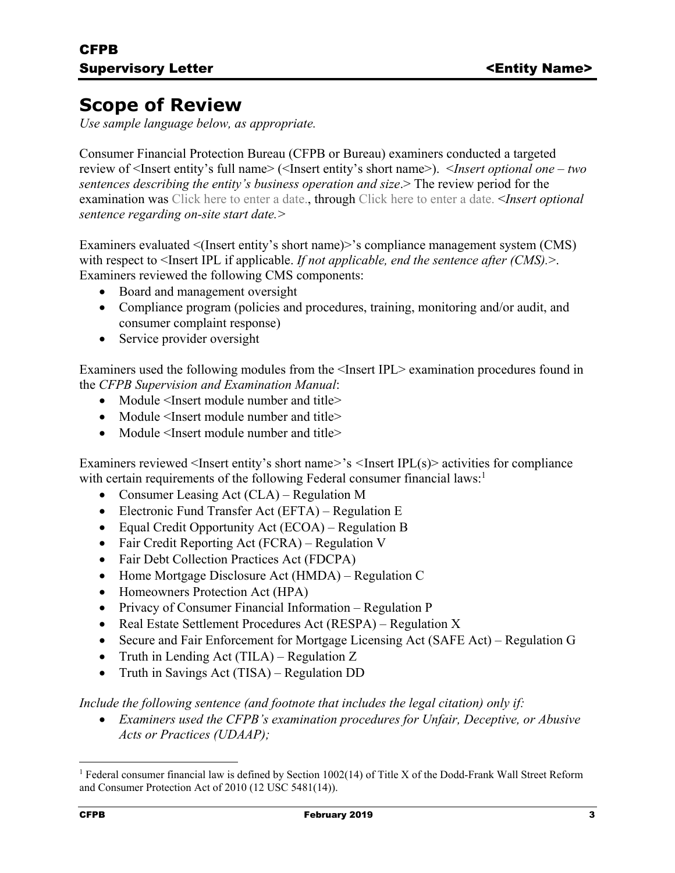### **Scope of Review**

*Use sample language below, as appropriate.* 

Consumer Financial Protection Bureau (CFPB or Bureau) examiners conducted a targeted review of <Insert entity's full name> (<Insert entity's short name>). <*Insert optional one – two sentences describing the entity's business operation and size*.> The review period for the examination was Click here to enter a date., through Click here to enter a date. <*Insert optional sentence regarding on-site start date.>* 

Examiners evaluated <(Insert entity's short name)>'s compliance management system (CMS) with respect to  $\leq$ Insert IPL if applicable. *If not applicable, end the sentence after (CMS).*>. Examiners reviewed the following CMS components:

- Board and management oversight
- Compliance program (policies and procedures, training, monitoring and/or audit, and consumer complaint response)
- Service provider oversight

Examiners used the following modules from the <Insert IPL> examination procedures found in the *CFPB Supervision and Examination Manual*:

- Module <Insert module number and title>
- Module <Insert module number and title>
- Module <Insert module number and title>

Examiners reviewed <Insert entity's short name*>*'s *<*Insert IPL(s)> activities for compliance with certain requirements of the following Federal consumer financial laws:<sup>1</sup>

- Consumer Leasing Act (CLA) Regulation M
- Electronic Fund Transfer Act (EFTA) Regulation E
- Equal Credit Opportunity Act (ECOA) Regulation B
- Fair Credit Reporting Act (FCRA) Regulation V
- Fair Debt Collection Practices Act (FDCPA)
- Home Mortgage Disclosure Act (HMDA) Regulation C
- Homeowners Protection Act (HPA)
- Privacy of Consumer Financial Information Regulation P
- Real Estate Settlement Procedures Act (RESPA) Regulation X
- Secure and Fair Enforcement for Mortgage Licensing Act (SAFE Act) Regulation G
- Truth in Lending Act  $(TILA)$  Regulation Z
- Truth in Savings Act (TISA) Regulation DD

*Include the following sentence (and footnote that includes the legal citation) only if:*

 *Examiners used the CFPB's examination procedures for Unfair, Deceptive, or Abusive Acts or Practices (UDAAP);* 

1

<sup>&</sup>lt;sup>1</sup> Federal consumer financial law is defined by Section 1002(14) of Title X of the Dodd-Frank Wall Street Reform and Consumer Protection Act of 2010 (12 USC 5481(14)).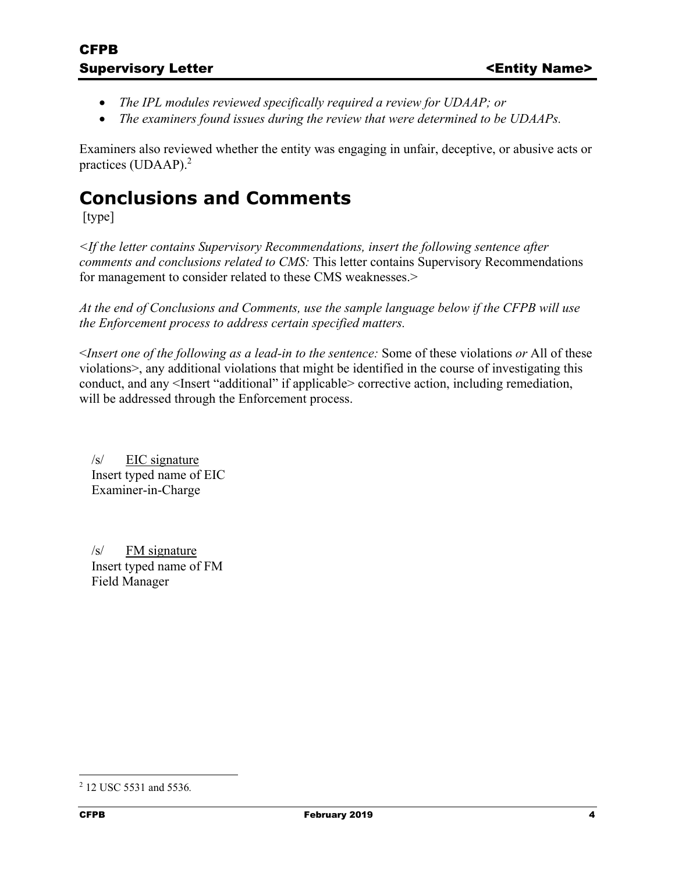- *The IPL modules reviewed specifically required a review for UDAAP; or*
- *The examiners found issues during the review that were determined to be UDAAPs.*

Examiners also reviewed whether the entity was engaging in unfair, deceptive, or abusive acts or practices (UDAAP).2

# **Conclusions and Comments**

[type]

*<If the letter contains Supervisory Recommendations, insert the following sentence after comments and conclusions related to CMS:* This letter contains Supervisory Recommendations for management to consider related to these CMS weaknesses.>

*At the end of Conclusions and Comments, use the sample language below if the CFPB will use the Enforcement process to address certain specified matters.*

<*Insert one of the following as a lead-in to the sentence:* Some of these violations *or* All of these violations>, any additional violations that might be identified in the course of investigating this conduct, and any <Insert "additional" if applicable> corrective action, including remediation, will be addressed through the Enforcement process.

/s/ EIC signature Insert typed name of EIC Examiner-in-Charge

/s/ FM signature Insert typed name of FM Field Manager

 $\overline{a}$ 2 12 USC 5531 and 5536*.*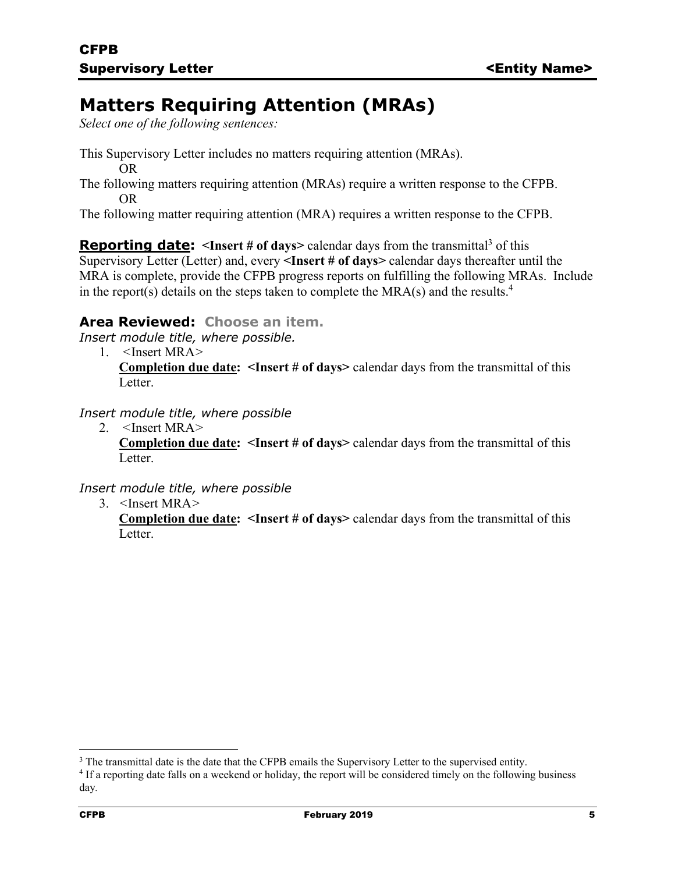### **Matters Requiring Attention (MRAs)**

*Select one of the following sentences:* 

- This Supervisory Letter includes no matters requiring attention (MRAs). OR
- The following matters requiring attention (MRAs) require a written response to the CFPB. OR

The following matter requiring attention (MRA) requires a written response to the CFPB.

**Reporting date:** <Insert # of days> calendar days from the transmittal<sup>3</sup> of this Supervisory Letter (Letter) and, every **<Insert # of days***>* calendar days thereafter until the MRA is complete, provide the CFPB progress reports on fulfilling the following MRAs. Include in the report(s) details on the steps taken to complete the MRA(s) and the results.<sup>4</sup>

### **Area Reviewed: Choose an item.**

*Insert module title, where possible.* 

1. *<*Insert MRA*>* **Completion due date: <Insert # of days>** calendar days from the transmittal of this Letter.

#### *Insert module title, where possible*

2. *<*Insert MRA*>* **Completion due date: <Insert # of days>** calendar days from the transmittal of this Letter.

### *Insert module title, where possible*

3. *<*Insert MRA*>*

**Completion due date: <Insert # of days>** calendar days from the transmittal of this Letter.

 $\overline{a}$ 

<sup>&</sup>lt;sup>3</sup> The transmittal date is the date that the CFPB emails the Supervisory Letter to the supervised entity.<br><sup>4</sup> If a reporting date falls on a weekend or holiday, the report will be considered timely on the following

<sup>&</sup>lt;sup>4</sup> If a reporting date falls on a weekend or holiday, the report will be considered timely on the following business day*.*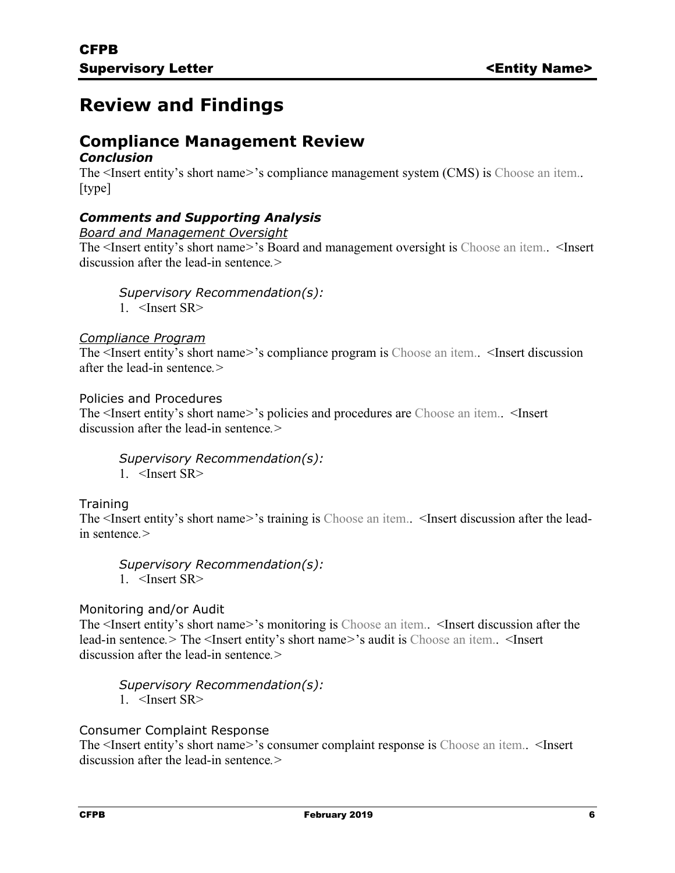### **Review and Findings**

### **Compliance Management Review**  *Conclusion*

The <Insert entity's short name*>*'s compliance management system (CMS) is Choose an item.. [type]

### *Comments and Supporting Analysis*

*Board and Management Oversight* 

The <Insert entity's short name*>*'s Board and management oversight is Choose an item.. <Insert discussion after the lead-in sentence*.>* 

*Supervisory Recommendation(s):* 

1. <Insert SR>

#### *Compliance Program*

The <Insert entity's short name*>*'s compliance program is Choose an item.. <Insert discussion after the lead-in sentence*.>* 

Policies and Procedures

The <Insert entity's short name*>*'s policies and procedures are Choose an item.. <Insert discussion after the lead-in sentence*.>* 

*Supervisory Recommendation(s):* 

1. <Insert SR>

#### **Training**

The <Insert entity's short name*>*'s training is Choose an item.. <Insert discussion after the leadin sentence*.>* 

*Supervisory Recommendation(s):*  1. <Insert SR>

#### Monitoring and/or Audit

The <Insert entity's short name*>*'s monitoring is Choose an item.. <Insert discussion after the lead-in sentence*.>* The <Insert entity's short name*>*'s audit is Choose an item.. <Insert discussion after the lead-in sentence*.>* 

*Supervisory Recommendation(s):*  1. <Insert SR>

Consumer Complaint Response

The <Insert entity's short name*>*'s consumer complaint response is Choose an item.. <Insert discussion after the lead-in sentence*.>*